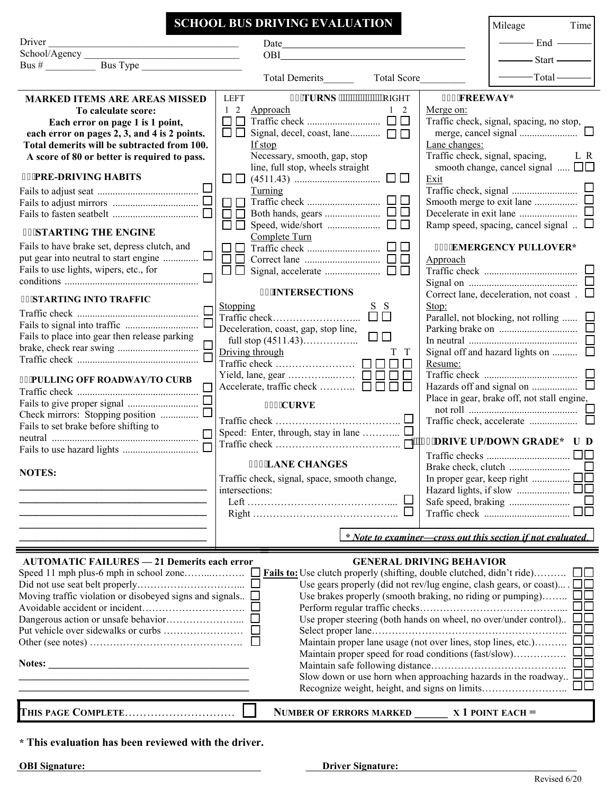|                                                                                                                       | <b>SCHOOL BUS DRIVING EVALUATION</b>                             | Mileage<br>Time                                                             |  |  |
|-----------------------------------------------------------------------------------------------------------------------|------------------------------------------------------------------|-----------------------------------------------------------------------------|--|--|
| Driver                                                                                                                |                                                                  | $-$ End $-$                                                                 |  |  |
|                                                                                                                       |                                                                  | $-$ Start $-$                                                               |  |  |
|                                                                                                                       |                                                                  |                                                                             |  |  |
|                                                                                                                       | Total Demerits Total Score                                       | $-$ Total $-$                                                               |  |  |
| <b>MARKED ITEMS ARE AREAS MISSED</b>                                                                                  | %'TURNS """""""""RIGHT<br><b>LEFT</b>                            | %5'FREEWAY*                                                                 |  |  |
| To calculate score:                                                                                                   | 1 2 Approach<br>$1\quad 2$                                       | Merge on:                                                                   |  |  |
| Each error on page 1 is 1 point,                                                                                      |                                                                  | Traffic check, signal, spacing, no stop,                                    |  |  |
| each error on pages 2, 3, and 4 is 2 points.                                                                          | $\Box$                                                           |                                                                             |  |  |
| Total demerits will be subtracted from 100.                                                                           | If stop                                                          | Lane changes:                                                               |  |  |
| A score of 80 or better is required to pass.                                                                          | Necessary, smooth, gap, stop<br>line, full stop, wheels straight | Traffic check, signal, spacing, L R<br>smooth change, cancel signal $\Box$  |  |  |
| <b>%'PRE-DRIVING HABITS</b>                                                                                           |                                                                  | Exit                                                                        |  |  |
|                                                                                                                       | Turning                                                          |                                                                             |  |  |
|                                                                                                                       |                                                                  |                                                                             |  |  |
|                                                                                                                       |                                                                  |                                                                             |  |  |
| <b>%'STARTING THE ENGINE</b>                                                                                          | Complete Turn                                                    | Ramp speed, spacing, cancel signal $\ldots$                                 |  |  |
| Fails to have brake set, depress clutch, and                                                                          |                                                                  | <b>%6'EMERGENCY PULLOVER*</b>                                               |  |  |
| $\Box$<br>put gear into neutral to start engine                                                                       |                                                                  | Approach                                                                    |  |  |
| Fails to use lights, wipers, etc., for                                                                                |                                                                  |                                                                             |  |  |
|                                                                                                                       |                                                                  |                                                                             |  |  |
| <b>%'STARTING INTO TRAFFIC</b>                                                                                        | %'INTERSECTIONS                                                  | Correct lane, deceleration, not coast. $\Box$                               |  |  |
| Traffic check $\Box$                                                                                                  | <b>Stopping</b><br>S S<br>$\frac{\text{Sopping}}{\text{Target}}$ | Stop:<br>Parallel, not blocking, not rolling $\Box$                         |  |  |
|                                                                                                                       | Deceleration, coast, gap, stop line,                             |                                                                             |  |  |
| Fails to place into gear then release parking                                                                         | $\Box$                                                           | In neutral $\ldots$ $\ldots$                                                |  |  |
|                                                                                                                       | Driving through<br>T T                                           | Signal off and hazard lights on                                             |  |  |
|                                                                                                                       | $\mathbf{1}$                                                     | Resume:                                                                     |  |  |
| <b>%PULLING OFF ROADWAY/TO CURB</b>                                                                                   |                                                                  |                                                                             |  |  |
|                                                                                                                       | Accelerate, traffic check $\Box \Box \Box$<br>$\Box$             | Place in gear, brake off, not stall engine,                                 |  |  |
|                                                                                                                       | <b>%2'CURVE</b>                                                  |                                                                             |  |  |
| Check mirrors: Stopping position                                                                                      |                                                                  |                                                                             |  |  |
| Fails to set brake before shifting to<br>$\Box$                                                                       |                                                                  |                                                                             |  |  |
| $\Box$                                                                                                                |                                                                  |                                                                             |  |  |
|                                                                                                                       | <b>%3'LANE CHANGES</b>                                           |                                                                             |  |  |
| <b>NOTES:</b>                                                                                                         | Traffic check, signal, space, smooth change,                     | In proper gear, keep right $\Box$                                           |  |  |
|                                                                                                                       | intersections:                                                   |                                                                             |  |  |
|                                                                                                                       |                                                                  |                                                                             |  |  |
|                                                                                                                       |                                                                  |                                                                             |  |  |
|                                                                                                                       |                                                                  |                                                                             |  |  |
|                                                                                                                       |                                                                  | * Note to examiner—cross out this section if not evaluated.                 |  |  |
| <b>AUTOMATIC FAILURES - 21 Demerits each error</b>                                                                    |                                                                  | <b>GENERAL DRIVING BEHAVIOR</b>                                             |  |  |
|                                                                                                                       |                                                                  |                                                                             |  |  |
|                                                                                                                       |                                                                  | Use gears properly (did not rev/lug engine, clash gears, or coast) . $\Box$ |  |  |
| Moving traffic violation or disobeyed signs and signals $\Box$                                                        |                                                                  | Use brakes properly (smooth braking, no riding or pumping) $\Box$           |  |  |
|                                                                                                                       |                                                                  | Use proper steering (both hands on wheel, no over/under control). $\Box$    |  |  |
|                                                                                                                       |                                                                  |                                                                             |  |  |
| Maintain proper lane usage (not over lines, stop lines, etc.) $\square \square$                                       |                                                                  |                                                                             |  |  |
| $\square\square$<br>Maintain proper speed for road conditions (fast/slow)                                             |                                                                  |                                                                             |  |  |
|                                                                                                                       |                                                                  |                                                                             |  |  |
| <u> 1989 - Johann Barn, amerikan besteman besteman besteman besteman besteman besteman besteman besteman besteman</u> |                                                                  |                                                                             |  |  |
|                                                                                                                       |                                                                  |                                                                             |  |  |
|                                                                                                                       | <b>NUMBER OF ERRORS MARKED</b>                                   | $X$ 1 POINT EACH $=$                                                        |  |  |
| * This evaluation has been reviewed with the driver.                                                                  |                                                                  |                                                                             |  |  |

**OBI Signature:**<br> **Driver Signature:**<br> **Driver Signature:**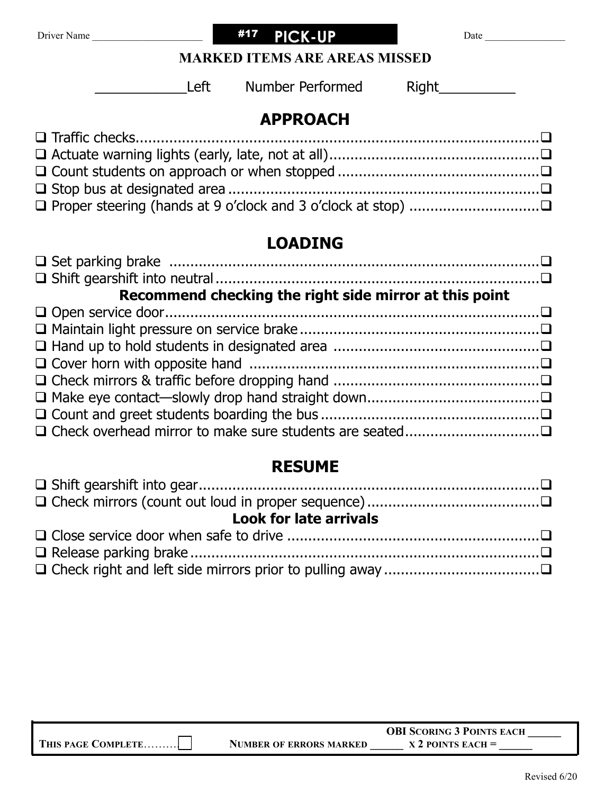

### **MARKED ITEMS ARE AREAS MISSED**

Left Number Performed R

| ٠ | U | I |  |  |  |
|---|---|---|--|--|--|
|   |   |   |  |  |  |

### **APPROACH**

# **LOADING**

| □ Set parking brake ……………………………………………………………………………………………□ |  |
|----------------------------------------------------------|--|
|                                                          |  |
| Recommend checking the right side mirror at this point   |  |
|                                                          |  |
|                                                          |  |
|                                                          |  |
|                                                          |  |
|                                                          |  |
|                                                          |  |
|                                                          |  |
|                                                          |  |

# **RESUME**

| <b>Look for late arrivals</b> |  |  |  |
|-------------------------------|--|--|--|
|                               |  |  |  |
|                               |  |  |  |
|                               |  |  |  |

|                    |                                | <b>OBI SCORING 3 POINTS EACH</b> |
|--------------------|--------------------------------|----------------------------------|
| THIS PAGE COMPLETE | <b>NUMBER OF ERRORS MARKED</b> | $X$ 2 POINTS EACH $=$            |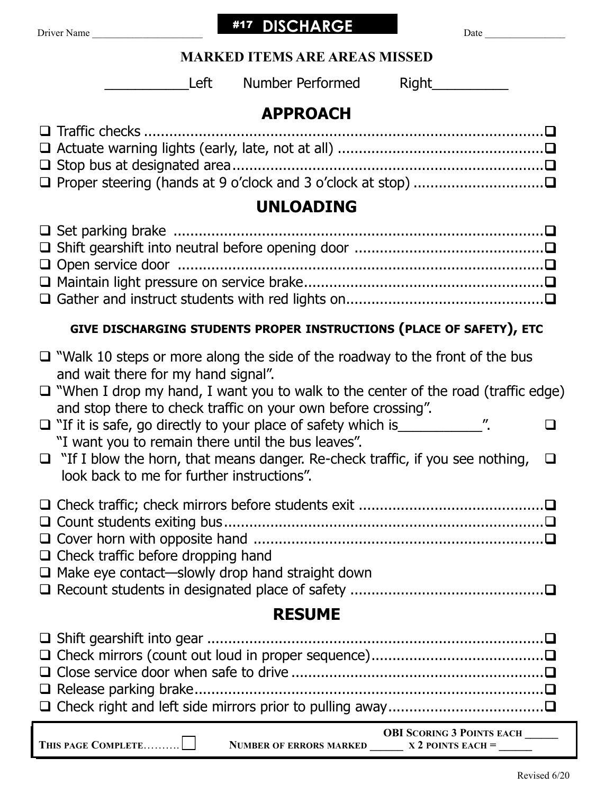| Driver Name |  |
|-------------|--|
|-------------|--|

#17 DISCHARGE

Driver Name \_\_\_\_\_\_\_\_\_\_\_\_\_\_\_\_\_\_\_\_\_\_ Date \_\_\_\_\_\_\_\_\_\_\_\_\_\_\_\_

| <b>MARKED ITEMS ARE AREAS MISSED</b> |  |  |  |
|--------------------------------------|--|--|--|
|--------------------------------------|--|--|--|

Left Number Performed Right

# **APPROACH**

| <b>UNLOADING</b>                                                                                                                                      |  |  |  |  |  |
|-------------------------------------------------------------------------------------------------------------------------------------------------------|--|--|--|--|--|
|                                                                                                                                                       |  |  |  |  |  |
| GIVE DISCHARGING STUDENTS PROPER INSTRUCTIONS (PLACE OF SAFETY), ETC                                                                                  |  |  |  |  |  |
| $\Box$ "Walk 10 steps or more along the side of the roadway to the front of the bus<br>and wait there for my hand signal".                            |  |  |  |  |  |
| $\Box$ "When I drop my hand, I want you to walk to the center of the road (traffic edge)                                                              |  |  |  |  |  |
| and stop there to check traffic on your own before crossing".<br>□ "If it is safe, go directly to your place of safety which is_______________".<br>□ |  |  |  |  |  |
| "I want you to remain there until the bus leaves".                                                                                                    |  |  |  |  |  |
| $\Box$ "If I blow the horn, that means danger. Re-check traffic, if you see nothing,<br>$\Box$<br>look back to me for further instructions".          |  |  |  |  |  |
|                                                                                                                                                       |  |  |  |  |  |
|                                                                                                                                                       |  |  |  |  |  |
| $\Box$ Check traffic before dropping hand                                                                                                             |  |  |  |  |  |
| $\Box$ Make eye contact—slowly drop hand straight down                                                                                                |  |  |  |  |  |
| <b>RESUME</b>                                                                                                                                         |  |  |  |  |  |
|                                                                                                                                                       |  |  |  |  |  |
|                                                                                                                                                       |  |  |  |  |  |
|                                                                                                                                                       |  |  |  |  |  |
| $\Box$ Release parking brake                                                                                                                          |  |  |  |  |  |
|                                                                                                                                                       |  |  |  |  |  |

|                    |                                | <b>OBI SCORING 3 POINTS EACH</b> |
|--------------------|--------------------------------|----------------------------------|
| THIS PAGE COMPLETE | <b>NUMBER OF ERRORS MARKED</b> | $X$ 2 POINTS EACH $=$            |